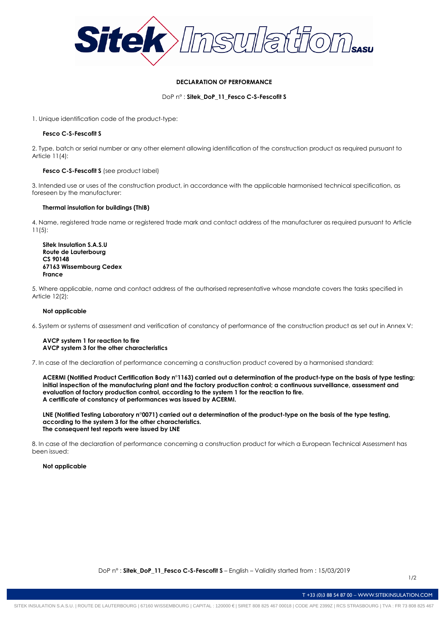

# **DECLARATION OF PERFORMANCE**

DoP n° : **Sitek\_DoP\_11\_Fesco C-S-Fescofit S**

1. Unique identification code of the product-type:

# **Fesco C-S-Fescofit S**

2. Type, batch or serial number or any other element allowing identification of the construction product as required pursuant to Article 11(4):

# **Fesco C-S-Fescofit S** (see product label)

3. Intended use or uses of the construction product, in accordance with the applicable harmonised technical specification, as foreseen by the manufacturer:

## **Thermal insulation for buildings (ThIB)**

4. Name, registered trade name or registered trade mark and contact address of the manufacturer as required pursuant to Article 11(5):

**Sitek Insulation S.A.S.U Route de Lauterbourg CS 90148 67163 Wissembourg Cedex France**

5. Where applicable, name and contact address of the authorised representative whose mandate covers the tasks specified in Article 12(2):

# **Not applicable**

6. System or systems of assessment and verification of constancy of performance of the construction product as set out in Annex V:

### **AVCP system 1 for reaction to fire AVCP system 3 for the other characteristics**

7. In case of the declaration of performance concerning a construction product covered by a harmonised standard:

**ACERMI (Notified Product Certification Body n°1163) carried out a determination of the product-type on the basis of type testing; initial inspection of the manufacturing plant and the factory production control; a continuous surveillance, assessment and evaluation of factory production control, according to the system 1 for the reaction to fire. A certificate of constancy of performances was issued by ACERMI.**

**LNE (Notified Testing Laboratory n°0071) carried out a determination of the product-type on the basis of the type testing, according to the system 3 for the other characteristics. The consequent test reports were issued by LNE**

8. In case of the declaration of performance concerning a construction product for which a European Technical Assessment has been issued:

### **Not applicable**

1/2